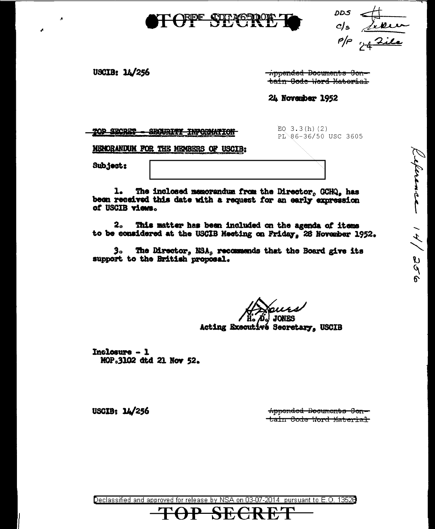

DDS c/s <u>Leven</u><br>e/s <u>Leven</u>

leference 14/256

USCIB: 14/256

<del>ippended Documents Con-</del> tain Gode Hord Matorial

24 November 1952

TOP SECRET SECURITY INFORMATION EQ  $3.3(h)(2)$ PL 86-36/50 USC 3605

MENORANDUM FOR THE MEMBERS OF USCIB:

Subject:

The inclosed memorandum from the Director, GCHQ, has 1. been received this date with a request for an early expression of USCIB views.

This matter has been included on the agenda of items  $2<sub>o</sub>$ to be considered at the USCIB Meeting on Friday, 28 November 1952.

3. The Director, NSA, recommends that the Board give its support to the British proposal.

Acting Executivé Secretary, USCIB

Inclosure - 1 MOP.3102 dtd 21 Nov 52.

> Appended Decuments Contain Code Word Material

USCIB:  $14/256$